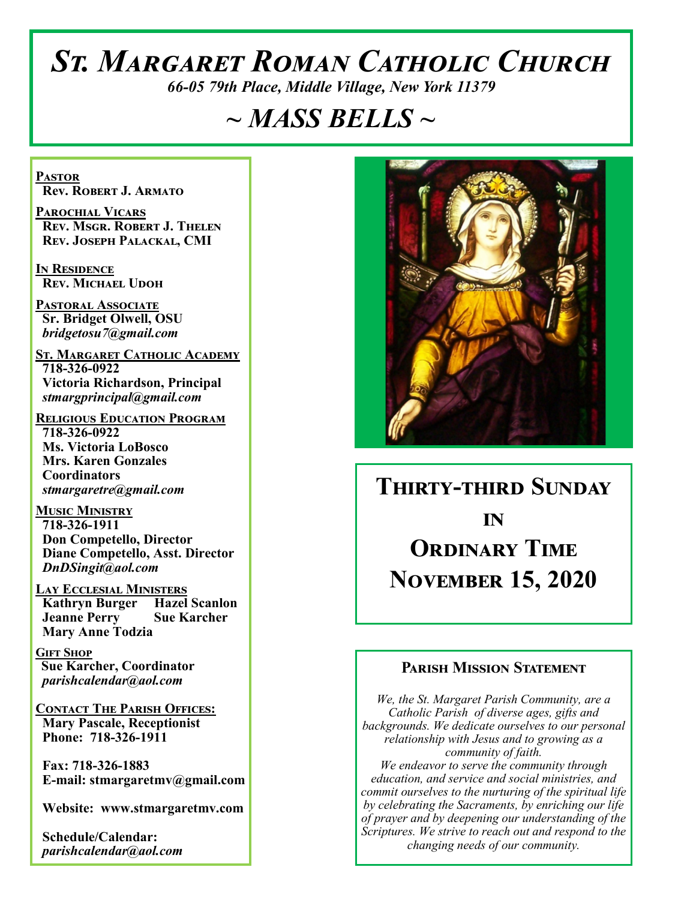# *St. Margaret Roman Catholic Church*

*66-05 79th Place, Middle Village, New York 11379*

# *~ MASS BELLS ~*

**Pastor Rev. Robert J. Armato**

**Parochial Vicars Rev. Msgr. Robert J. Thelen Rev. Joseph Palackal, CMI**

**In Residence Rev. Michael Udoh**

**Pastoral Associate Sr. Bridget Olwell, OSU**  *bridgetosu7@gmail.com*

**St. Margaret Catholic Academy 718-326-0922 Victoria Richardson, Principal**  *stmargprincipal@gmail.com*

**Religious Education Program 718-326-0922 Ms. Victoria LoBosco Mrs. Karen Gonzales Coordinators** *stmargaretre@gmail.com*

**Music Ministry 718-326-1911 Don Competello, Director Diane Competello, Asst. Director** *DnDSingit@aol.com*

**Lay Ecclesial Ministers Kathryn Burger Hazel Scanlon Jeanne Perry Sue Karcher Mary Anne Todzia**

**Gift Shop Sue Karcher, Coordinator** *parishcalendar@aol.com*

**Contact The Parish Offices: Mary Pascale, Receptionist Phone: 718-326-1911** 

 **Fax: 718-326-1883 E-mail: stmargaretmv@gmail.com**

 **Website: www.stmargaretmv.com**

 **Schedule/Calendar:** *parishcalendar@aol.com* 



**Thirty-third Sunday in Ordinary Time November 15, 2020** 

#### **Parish Mission Statement**

*We, the St. Margaret Parish Community, are a Catholic Parish of diverse ages, gifts and backgrounds. We dedicate ourselves to our personal relationship with Jesus and to growing as a community of faith. We endeavor to serve the community through education, and service and social ministries, and commit ourselves to the nurturing of the spiritual life by celebrating the Sacraments, by enriching our life of prayer and by deepening our understanding of the Scriptures. We strive to reach out and respond to the changing needs of our community.*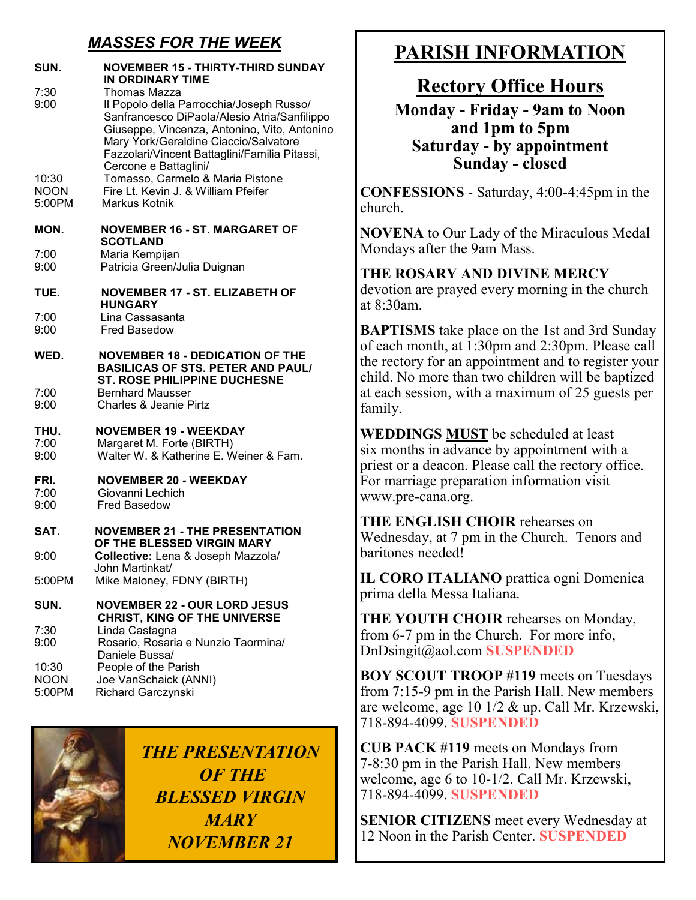## *MASSES FOR THE WEEK*

| SUN.                           | <b>NOVEMBER 15 - THIRTY-THIRD SUNDAY</b><br>IN ORDINARY TIME                                                                                                                                                                                                                |
|--------------------------------|-----------------------------------------------------------------------------------------------------------------------------------------------------------------------------------------------------------------------------------------------------------------------------|
| 7:30<br>9:00                   | Thomas Mazza<br>Il Popolo della Parrocchia/Joseph Russo/<br>Sanfrancesco DiPaola/Alesio Atria/Sanfilippo<br>Giuseppe, Vincenza, Antonino, Vito, Antonino<br>Mary York/Geraldine Ciaccio/Salvatore<br>Fazzolari/Vincent Battaglini/Familia Pitassi,<br>Cercone e Battaglini/ |
| 10:30<br><b>NOON</b><br>5:00PM | Tomasso, Carmelo & Maria Pistone<br>Fire Lt. Kevin J. & William Pfeifer<br>Markus Kotnik                                                                                                                                                                                    |
| MON.                           | <b>NOVEMBER 16 - ST. MARGARET OF</b><br><b>SCOTLAND</b>                                                                                                                                                                                                                     |
| 7:00<br>9:00                   | Maria Kempijan<br>Patricia Green/Julia Duignan                                                                                                                                                                                                                              |
| TUE.                           | <b>NOVEMBER 17 - ST. ELIZABETH OF</b><br><b>HUNGARY</b>                                                                                                                                                                                                                     |
| 7:00<br>9:00                   | Lina Cassasanta<br><b>Fred Basedow</b>                                                                                                                                                                                                                                      |
| WED.                           | <b>NOVEMBER 18 - DEDICATION OF THE</b><br><b>BASILICAS OF STS. PETER AND PAUL/</b><br><b>ST. ROSE PHILIPPINE DUCHESNE</b>                                                                                                                                                   |
| 7:00<br>9:00                   | <b>Bernhard Mausser</b><br><b>Charles &amp; Jeanie Pirtz</b>                                                                                                                                                                                                                |
| THU.<br>7:00<br>9:00           | <b>NOVEMBER 19 - WEEKDAY</b><br>Margaret M. Forte (BIRTH)<br>Walter W. & Katherine E. Weiner & Fam.                                                                                                                                                                         |
| FRI.<br>7:00<br>9:00           | <b>NOVEMBER 20 - WEEKDAY</b><br>Giovanni Lechich<br><b>Fred Basedow</b>                                                                                                                                                                                                     |
| SAT.                           | <b>NOVEMBER 21 - THE PRESENTATION</b><br>OF THE BLESSED VIRGIN MARY                                                                                                                                                                                                         |
| 9:00                           | Collective: Lena & Joseph Mazzola/<br>.Iohn Martinkat/                                                                                                                                                                                                                      |
| 5:00PM                         | Mike Maloney, FDNY (BIRTH)                                                                                                                                                                                                                                                  |
| SUN.                           | <b>NOVEMBER 22 - OUR LORD JESUS</b><br><b>CHRIST, KING OF THE UNIVERSE</b>                                                                                                                                                                                                  |
| 7:30<br>9:00                   | Linda Castagna<br>Rosario, Rosaria e Nunzio Taormina/<br>Daniele Bussa/                                                                                                                                                                                                     |
| 10:30<br><b>NOON</b><br>5:00PM | People of the Parish<br>Joe VanSchaick (ANNI)<br>Richard Garczynski                                                                                                                                                                                                         |



*THE PRESENTATION OF THE BLESSED VIRGIN MARY NOVEMBER 21*

# **PARISH INFORMATION**

# **Rectory Office Hours**

**Monday - Friday - 9am to Noon and 1pm to 5pm Saturday - by appointment Sunday - closed**

**CONFESSIONS** - Saturday, 4:00-4:45pm in the church.

**NOVENA** to Our Lady of the Miraculous Medal Mondays after the 9am Mass.

**THE ROSARY AND DIVINE MERCY** devotion are prayed every morning in the church at 8:30am.

**BAPTISMS** take place on the 1st and 3rd Sunday of each month, at 1:30pm and 2:30pm. Please call the rectory for an appointment and to register your child. No more than two children will be baptized at each session, with a maximum of 25 guests per family.

**WEDDINGS MUST** be scheduled at least six months in advance by appointment with a priest or a deacon. Please call the rectory office. For marriage preparation information visit www.pre-cana.org.

**THE ENGLISH CHOIR** rehearses on Wednesday, at 7 pm in the Church. Tenors and baritones needed!

**IL CORO ITALIANO** prattica ogni Domenica prima della Messa Italiana.

**THE YOUTH CHOIR** rehearses on Monday, from 6-7 pm in the Church. For more info, DnDsingit@aol.com **SUSPENDED**

**BOY SCOUT TROOP #119** meets on Tuesdays from 7:15-9 pm in the Parish Hall. New members are welcome, age 10 1/2 & up. Call Mr. Krzewski, 718-894-4099. **SUSPENDED**

**CUB PACK #119** meets on Mondays from 7-8:30 pm in the Parish Hall. New members welcome, age 6 to 10-1/2. Call Mr. Krzewski, 718-894-4099. **SUSPENDED**

**SENIOR CITIZENS** meet every Wednesday at 12 Noon in the Parish Center. **SUSPENDED**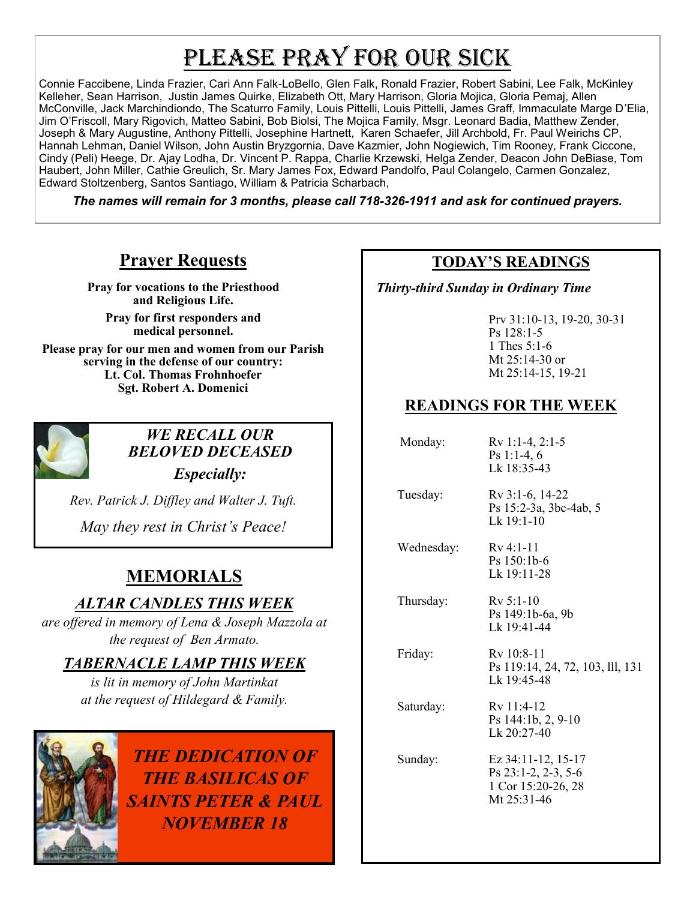# PLEASE PRAY FOR OUR SICK

Connie Faccibene, Linda Frazier, Cari Ann Falk-LoBello, Glen Falk, Ronald Frazier, Robert Sabini, Lee Falk, McKinley Kelleher, Sean Harrison, Justin James Quirke, Elizabeth Ott, Mary Harrison, Gloria Mojica, Gloria Pemaj, Allen McConville, Jack Marchindiondo, The Scaturro Family, Louis Pittelli, Louis Pittelli, James Graff, Immaculate Marge D'Elia, Jim O'Friscoll, Mary Rigovich, Matteo Sabini, Bob Biolsi, The Mojica Family, Msgr. Leonard Badia, Matthew Zender, Joseph & Mary Augustine, Anthony Pittelli, Josephine Hartnett, Karen Schaefer, Jill Archbold, Fr. Paul Weirichs CP, Hannah Lehman, Daniel Wilson, John Austin Bryzgornia, Dave Kazmier, John Nogiewich, Tim Rooney, Frank Ciccone, Cindy (Peli) Heege, Dr. Ajay Lodha, Dr. Vincent P. Rappa, Charlie Krzewski, Helga Zender, Deacon John DeBiase, Tom Haubert, John Miller, Cathie Greulich, Sr. Mary James Fox, Edward Pandolfo, Paul Colangelo, Carmen Gonzalez, Edward Stoltzenberg, Santos Santiago, William & Patricia Scharbach,

*The names will remain for 3 months, please call 718-326-1911 and ask for continued prayers.*

## **Prayer Requests**

**Pray for vocations to the Priesthood and Religious Life.** 

**Pray for first responders and medical personnel.**

**Please pray for our men and women from our Parish serving in the defense of our country: Lt. Col. Thomas Frohnhoefer Sgt. Robert A. Domenici** 



#### *WE RECALL OUR BELOVED DECEASED*

*Especially:*

*Rev. Patrick J. Diffley and Walter J. Tuft.* 

*May they rest in Christ's Peace!*

# **MEMORIALS**

### *ALTAR CANDLES THIS WEEK*

*are offered in memory of Lena & Joseph Mazzola at the request of Ben Armato.*

### *TABERNACLE LAMP THIS WEEK*

*is lit in memory of John Martinkat at the request of Hildegard & Family.* 



*THE DEDICATION OF THE BASILICAS OF SAINTS PETER & PAUL NOVEMBER 18*

#### **TODAY'S READINGS**

 *Thirty-third Sunday in Ordinary Time* 

Prv 31:10-13, 19-20, 30-31 Ps 128:1-5 1 Thes 5:1-6 Mt 25:14-30 or Mt 25:14-15, 19-21

## **READINGS FOR THE WEEK**

| Monday:    | $Rv 1:1-4, 2:1-5$<br>Ps 1:1-4, $6$<br>Lk 18:35-43                                   |
|------------|-------------------------------------------------------------------------------------|
| Tuesday:   | Rv 3:1-6, 14-22<br>Ps 15:2-3a, 3bc-4ab, 5<br>Lk $19:1-10$                           |
| Wednesday: | $Rv$ 4:1-11<br>$Ps$ 150:1b-6<br>Lk 19:11-28                                         |
| Thursday:  | $Rv$ 5:1-10<br>Ps 149:1b-6a, 9b<br>Lk 19:41-44                                      |
| Friday:    | Ry 10:8-11<br>Ps 119:14, 24, 72, 103, 111, 131<br>Lk 19:45-48                       |
| Saturday:  | Rv 11:4-12<br>Ps 144:1b, 2, 9-10<br>Lk 20:27-40                                     |
| Sunday:    | Ez $34:11-12$ , $15-17$<br>Ps 23:1-2, 2-3, 5-6<br>1 Cor 15:20-26, 28<br>Mt 25:31-46 |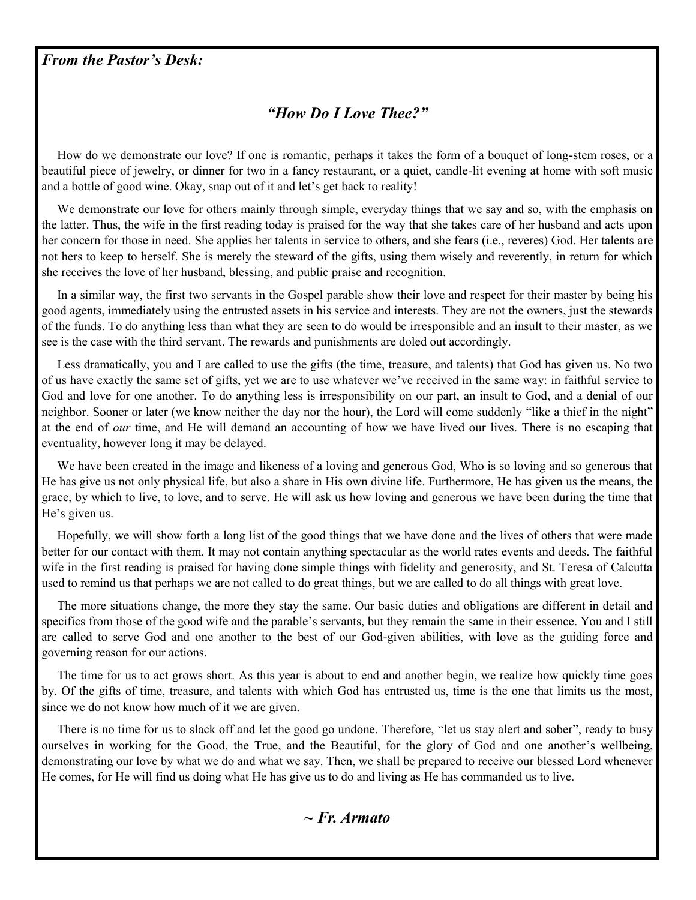#### *From the Pastor's Desk:*

#### *"How Do I Love Thee?"*

 How do we demonstrate our love? If one is romantic, perhaps it takes the form of a bouquet of long-stem roses, or a beautiful piece of jewelry, or dinner for two in a fancy restaurant, or a quiet, candle-lit evening at home with soft music and a bottle of good wine. Okay, snap out of it and let's get back to reality!

 We demonstrate our love for others mainly through simple, everyday things that we say and so, with the emphasis on the latter. Thus, the wife in the first reading today is praised for the way that she takes care of her husband and acts upon her concern for those in need. She applies her talents in service to others, and she fears (i.e., reveres) God. Her talents are not hers to keep to herself. She is merely the steward of the gifts, using them wisely and reverently, in return for which she receives the love of her husband, blessing, and public praise and recognition.

 In a similar way, the first two servants in the Gospel parable show their love and respect for their master by being his good agents, immediately using the entrusted assets in his service and interests. They are not the owners, just the stewards of the funds. To do anything less than what they are seen to do would be irresponsible and an insult to their master, as we see is the case with the third servant. The rewards and punishments are doled out accordingly.

 Less dramatically, you and I are called to use the gifts (the time, treasure, and talents) that God has given us. No two of us have exactly the same set of gifts, yet we are to use whatever we've received in the same way: in faithful service to God and love for one another. To do anything less is irresponsibility on our part, an insult to God, and a denial of our neighbor. Sooner or later (we know neither the day nor the hour), the Lord will come suddenly "like a thief in the night" at the end of *our* time, and He will demand an accounting of how we have lived our lives. There is no escaping that eventuality, however long it may be delayed.

 We have been created in the image and likeness of a loving and generous God, Who is so loving and so generous that He has give us not only physical life, but also a share in His own divine life. Furthermore, He has given us the means, the grace, by which to live, to love, and to serve. He will ask us how loving and generous we have been during the time that He's given us.

 Hopefully, we will show forth a long list of the good things that we have done and the lives of others that were made better for our contact with them. It may not contain anything spectacular as the world rates events and deeds. The faithful wife in the first reading is praised for having done simple things with fidelity and generosity, and St. Teresa of Calcutta used to remind us that perhaps we are not called to do great things, but we are called to do all things with great love.

 The more situations change, the more they stay the same. Our basic duties and obligations are different in detail and specifics from those of the good wife and the parable's servants, but they remain the same in their essence. You and I still are called to serve God and one another to the best of our God-given abilities, with love as the guiding force and governing reason for our actions.

 The time for us to act grows short. As this year is about to end and another begin, we realize how quickly time goes by. Of the gifts of time, treasure, and talents with which God has entrusted us, time is the one that limits us the most, since we do not know how much of it we are given.

 There is no time for us to slack off and let the good go undone. Therefore, "let us stay alert and sober", ready to busy ourselves in working for the Good, the True, and the Beautiful, for the glory of God and one another's wellbeing, demonstrating our love by what we do and what we say. Then, we shall be prepared to receive our blessed Lord whenever He comes, for He will find us doing what He has give us to do and living as He has commanded us to live.

*~ Fr. Armato*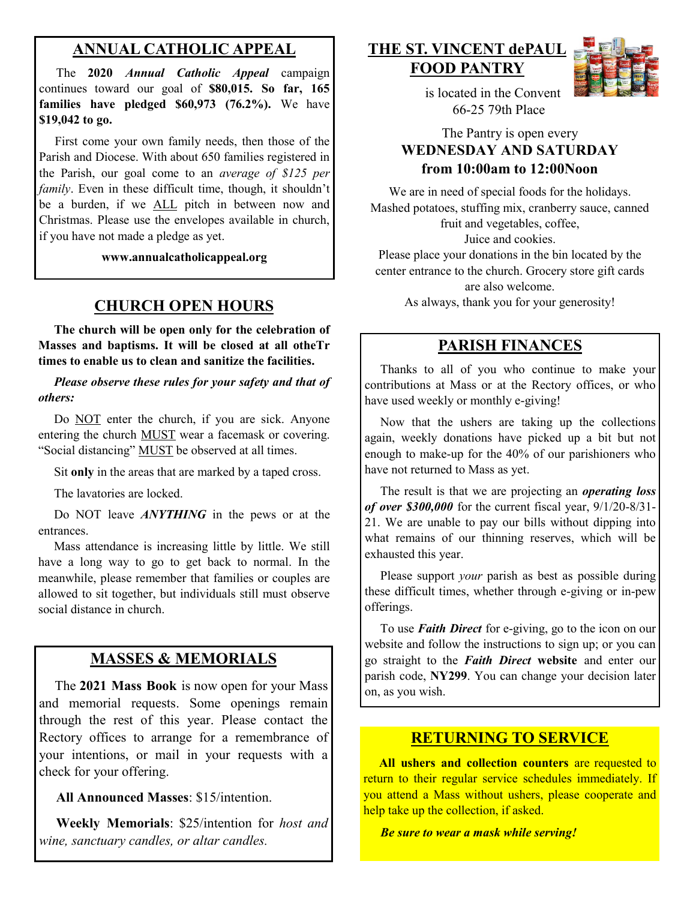#### **ANNUAL CATHOLIC APPEAL**

 The **2020** *Annual Catholic Appeal* campaign continues toward our goal of **\$80,015. So far, 165 families have pledged \$60,973 (76.2%).** We have **\$19,042 to go.**

 First come your own family needs, then those of the Parish and Diocese. With about 650 families registered in the Parish, our goal come to an *average of \$125 per family*. Even in these difficult time, though, it shouldn't be a burden, if we ALL pitch in between now and Christmas. Please use the envelopes available in church, if you have not made a pledge as yet.

**www.annualcatholicappeal.org** 

#### **CHURCH OPEN HOURS**

 **The church will be open only for the celebration of Masses and baptisms. It will be closed at all otheTr times to enable us to clean and sanitize the facilities.**

 *Please observe these rules for your safety and that of others:*

Do NOT enter the church, if you are sick. Anyone entering the church MUST wear a facemask or covering. "Social distancing" MUST be observed at all times.

Sit **only** in the areas that are marked by a taped cross.

The lavatories are locked.

 Do NOT leave *ANYTHING* in the pews or at the entrances.

 Mass attendance is increasing little by little. We still have a long way to go to get back to normal. In the meanwhile, please remember that families or couples are allowed to sit together, but individuals still must observe social distance in church.

#### **MASSES & MEMORIALS**

 The **2021 Mass Book** is now open for your Mass and memorial requests. Some openings remain through the rest of this year. Please contact the Rectory offices to arrange for a remembrance of your intentions, or mail in your requests with a check for your offering.

**All Announced Masses**: \$15/intention.

 **Weekly Memorials**: \$25/intention for *host and wine, sanctuary candles, or altar candles.*

**THE ST. VINCENT dePAUL FOOD PANTRY**



 is located in the Convent 66-25 79th Place

#### The Pantry is open every **WEDNESDAY AND SATURDAY from 10:00am to 12:00Noon**

We are in need of special foods for the holidays. Mashed potatoes, stuffing mix, cranberry sauce, canned fruit and vegetables, coffee, Juice and cookies. Please place your donations in the bin located by the center entrance to the church. Grocery store gift cards are also welcome.

As always, thank you for your generosity!

#### **PARISH FINANCES**

 Thanks to all of you who continue to make your contributions at Mass or at the Rectory offices, or who have used weekly or monthly e-giving!

 Now that the ushers are taking up the collections again, weekly donations have picked up a bit but not enough to make-up for the 40% of our parishioners who have not returned to Mass as yet.

 The result is that we are projecting an *operating loss of over \$300,000* for the current fiscal year, 9/1/20-8/31- 21. We are unable to pay our bills without dipping into what remains of our thinning reserves, which will be exhausted this year.

 Please support *your* parish as best as possible during these difficult times, whether through e-giving or in-pew offerings.

 To use *Faith Direct* for e-giving, go to the icon on our website and follow the instructions to sign up; or you can go straight to the *Faith Direct* **website** and enter our parish code, **NY299**. You can change your decision later on, as you wish.

#### **RETURNING TO SERVICE**

 **All ushers and collection counters** are requested to return to their regular service schedules immediately. If you attend a Mass without ushers, please cooperate and help take up the collection, if asked.

*Be sure to wear a mask while serving!*